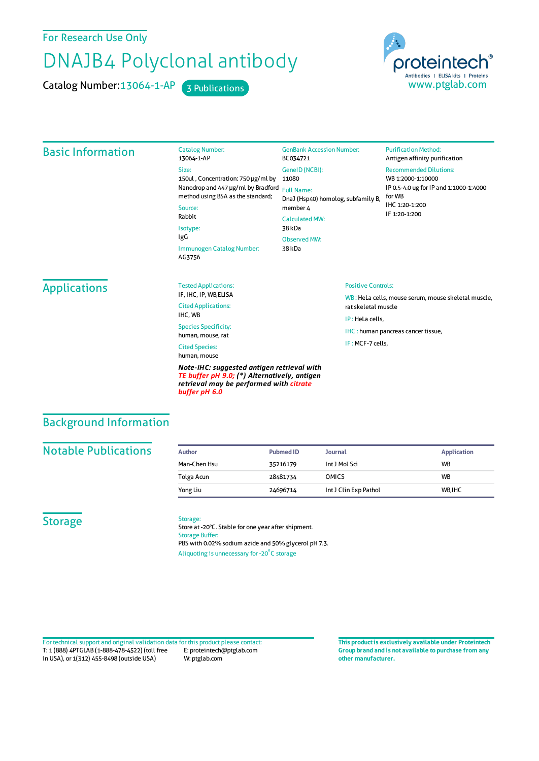For Research Use Only

# DNAJB4 Polyclonal antibody

Catalog Number: 13064-1-AP 3 Publications



#### Basic Information Catalog Number: 13064-1-AP Size: 150ul , Concentration: 750 μg/ml by 11080 Nanodrop and 447 μg/ml by Bradford Full Name: method using BSA as the standard; Source: Rabbit Isotype: IgG Immunogen Catalog Number: AG3756 GenBank Accession Number: BC034721 GeneID(NCBI): DnaJ (Hsp40) homolog, subfamily B, member 4 CalculatedMW: 38 kDa ObservedMW: 38 kDa **Purification Method:** Antigen affinity purification Recommended Dilutions: WB 1:2000-1:10000 IP 0.5-4.0 ug forIP and 1:1000-1:4000 forWB IHC 1:20-1:200 IF 1:20-1:200 **Applications** Tested Applications: IF, IHC, IP, WB,ELISA Cited Applications: IHC, WB Species Specificity: human, mouse, rat Cited Species: human, mouse *Note-IHC: suggested antigen retrieval with TE buffer pH 9.0; (\*) Alternatively, antigen* Positive Controls: WB : HeLa cells, mouse serum, mouse skeletal muscle, ratskeletal muscle IP : HeLa cells, IHC : human pancreas cancer tissue, IF :MCF-7 cells,

### Background Information

#### **Notable Publications**

| Author       | <b>Pubmed ID</b> | Journal               | <b>Application</b> |
|--------------|------------------|-----------------------|--------------------|
| Man-Chen Hsu | 35216179         | Int J Mol Sci         | <b>WB</b>          |
| Tolga Acun   | 28481734         | <b>OMICS</b>          | <b>WB</b>          |
| Yong Liu     | 24696714         | Int J Clin Exp Pathol | WB.IHC             |

#### **Storage**

#### Storage:

*buffer pH 6.0*

Store at -20°C. Stable for one year after shipment. Storage Buffer: PBS with 0.02% sodium azide and 50% glycerol pH 7.3. Aliquoting is unnecessary for -20<sup>°</sup>C storage

*retrieval may be performed with citrate*

T: 1 (888) 4PTGLAB (1-888-478-4522) (toll free in USA), or 1(312) 455-8498 (outside USA) E: proteintech@ptglab.com W: ptglab.com Fortechnical support and original validation data forthis product please contact: **This productis exclusively available under Proteintech**

**Group brand and is not available to purchase from any other manufacturer.**